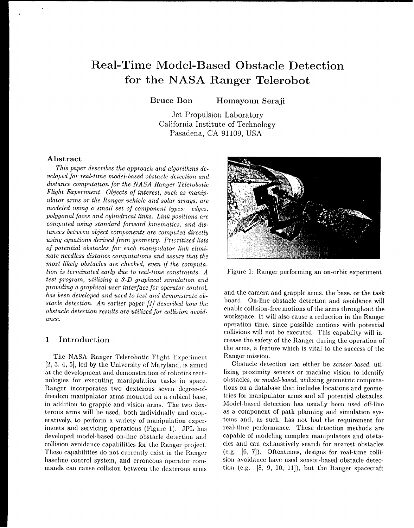# **Real-Time Model-Based Obstacle Detection for the NASA Ranger Telerobot**

**Bruce Bon Homayoun Seraji**

Jet Propulsion Laboratory California Institute of Technology Pasadena, CA 91109, USA

#### **Abstract**

*This paper describes the approach and algorithms developed jor real-time model-based obstacle detection and distance computation for the NASA Ranger Telerobotic Flight Experiment. Objects oj interest, such as* manip*ulator arms or the Ranger vehicle and solar* arrays, are modeled using a small *set oj* component *types: edges,* polygonal jaces *and cylindrical links. Link positions* **are** *computed using standard forward kinematics, and distances between object components are computed directly using* equations *derived from geometry. Prioritized lists of potential obstacles for each manipulator link* elimi*nate needless distance computations and* assure *that the most likely obstacles are checked, even if the computation is terminated early* due *to real-time constraints. A test* **program,** *utilizing* a *3-D graphical* simulation and providing a *graphical* user *interjace for operator control, has been developed* and used *to test and demonstrate obstacie detection. An* earlier *paper [1] described how the obstacle detection results are utilized jor collision* avoid*ance.*

# **1 Introduction**

The NASA Ranger Telerobotic Flight Experiment [2, 3,4, 5], led by the University of Maryland, is aimed at the development and demonstration of robotics technologies for executing manipulation tasks in space. Rauger incorporates two dexterous seven degree-offreedom manipulator arms mounted on a cubical base, in addition to grapple and vision arms. The two dexterous arms will be used, both individually and cooperatively, to perform a variety of manipulation experiments and servicing operations (Figure 1). JPL has developed model-based on-line obstacle detection and collision avoidance capabilities for the Ranger project, These capabilities do not currently exist in the Ranger baseline control system, and erroneous operator commauds cau cause collision between the dexterous arms



Figure 1: Ranger performing an on-orbit experiment

and the camera and grapple arms, the base, or the task board. On-line obstacle detection and avoidance will enable collision-free motions of the arms throughout the workspace. It will also cause a reduction in the Ranger operation time, since possible motions with potential collisions will not be executed. This capability will increase the safety of the Ranger during the operation of the arms, a feature which is vital to the success of the Ranger mission.

Obstacle detection can either be *sensor-based,* utilizing proximity sensors or machine vision to identify obstacles, or *model-based,* utilizing geometric computations on a database that includes locations and geometries for manipulator arms and all potential obstacles. Model-based detection has usually been used off-line as a component of path planning and simulation systems and, as such, has not had the requirement for real-time performance, These detection methods are capable of modeling complex manipulators and obstacles aud can exhaustively search for nearest obstacles  $(e.g. [6, 7])$ . Oftentimes, designs for real-time collision avoidance have used sensor-based obstacle detectiou (e.g. [8, 9, 10, 11]), but the Ranger spacecraft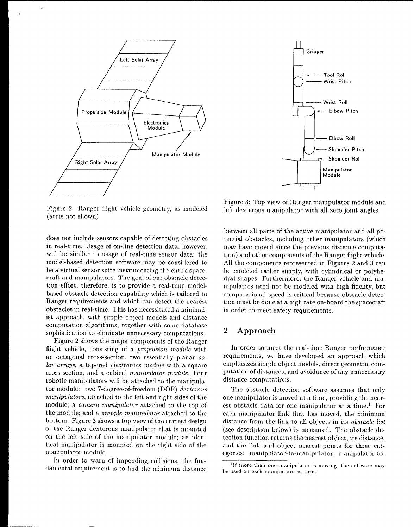

ä.

Figure 2: Ranger flight vehicle geometry, as modeled (arms not shown)

does not include sensors capable of detecting obstacles in real-time. Usage of on-line detection data, however, will be similar to usage of real-time sensor data; the model-based detection software may be considered to be a virtual sensor suite instrumenting the entire spacecraft and manipulators. The goal of our obstacle detection effort, therefore, is to provide a real-time mode] based obstacle detection capability which is tailored to Ranger requirements and which can detect the nearest obstacles in real-time. This has necessitated a minimalist approach, with simple object models and distance computation algorithms, together with some database sophistication to eliminate unnecessary computations.

Figure 2 shows the major components of the Ranger flight vehicle, consisting of a propulsion module with an octagonal cross-section, two essentially planar so*lar* arrays, a tapered *electronics module* with a square cross-section, ancl a cubical *manipulator module.* Four robotic manipulators will be attached to the manipulator module: two 7-degree-of-freedom (DOF) *dexterous 7nanipulators,* attached to the left and right sides of the module; a camera *manipulator* attached to the top of the module; and a *grapple manipulator* attached to the bottom. Figure 3 shows a top view of the current design of the Ranger dexterous manipulator that is mounted on the left side of the manipulator module; an identical manipulator is mounted on the right side of the manipulator module.

In order to warn of impending collisions, the fundamental requirement is to find the minimum distance



Figure 3: Top view of Ranger manipulator module and left dexterous manipulator with all zero joint angles

between all parts of the active manipulator and all potential obstacles, including other manipulators (which may have moved since the previous distance computation) and other components of the Ranger flight vehicle. All the components represented in Figures 2 and 3 can be modeled rather simply, with cylindrical or polyhedral shapes. Furthermore, the Ranger vehicle and manipulators need not be modeled with high fidelity, but computational speed is critical because obstacle detection must be done at a high rate on-board the spacecraft in order to meet safety requirements.

# 2 **Approach**

In order to meet the real-time Ranger performance requirements, we have developed an approach which emphasizes simple object models, direct geometric computation of distances, and avoidance of any unnecessary distance computations.

The obstacle detection software assumes that only one manipulator is moved at a time, providing the nearest obstacle data for one manipulator at a time.<sup>1</sup> For each manipulator link that has moved, the minimum distance from the link to all objects in its *obstacle list* (see description below) is measured. The obstacle detection function returns the nearest object, its distance, and the link and object nearest points for three categories: manipulator-to-manipulator, manipulator-to-

<sup>]</sup>**If n)ore ttlan one manipulator is n]oving, the software Inay be used on eacl) n)mlipulator in turn.**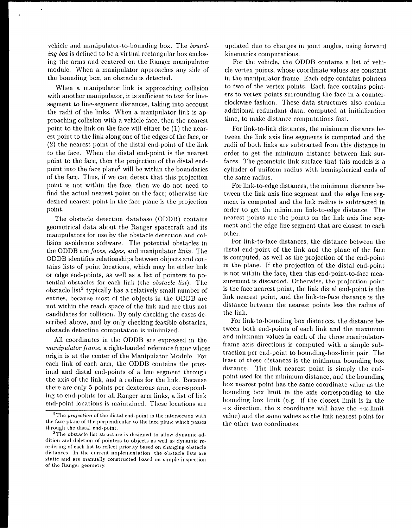vehicle and manipulator-to-bounding box. The *bounding box* is defined to be a virtual rectangular box enclosing the arms and centered on the Ranger manipulator module. When a manipulator approaches any side of the bounding box, an obstacle is detected.

When a manipulator link is approaching collision with another manipulator, it is sufficient to test for linesegment to line-segment distances, taking into account the raclii of the links. When a manipulator link is approaching collision with a vehicle face, then the nearest point to the link on the face will either be (1) the nearest point to the link along one of the edges of the face, or (2) the nearest point of the distal end-point of the link to the face. When the distal end-point is the nearest point to the face, then the projection of the distal endpoint into the face plane2 will be within the boundaries of the face. Thus, if we can detect that this projection point is not within the face, then we do not need to find the actual nearest point on the face; otherwise the desired nearest point in the face plane is the projection point.

The obstacle detection database (ODDB) contains geometrical data about the Ranger spacecraft and its manipulators for use by the obstacle detection and collision avoidance software. The potential obstacles in the ODDB are faces, edges, and manipulator links. The ODDB identifies relationships between objects and contains lists of point locations, which may be either link or edge end-points, as well as a list of pointers to potential obstacles for each link (the *obstacle list).* The obstacle list<sup>3</sup> typically has a relatively small number of entries, because most of the objects in the ODDB are not within the reach space of the link and are thus not candidates for collision. By only checking the cases described above, and by only checking feasible obstacles, obstacle detection computation is minimized.

All coordinates in the ODDB are expressed in the *manipulator* frame, a right-handed reference frame whose origin is at the center of the Manipulator Module. For each link of each arm, the ODDB contains the proximal and distal end-points of a line segment through the axis of the link, and a radius for the link. Because there are only 5 points per dexterous arm, corresponding to end-points for all Ranger arm links, a list of link end-point locations is maintained. These locations are

updated due to changes in joint angles, using forward kinematics computations.

For the vehicle, the ODDB contains a list of vehicle vertex points, whose coordinate values are constant in the manipulator frame. Each edge contains pointers to two of the vertex points. Each face contains pointers to vertex points surrounding the face in a counterclockwise fashion. These data structures also contain additional redundant data, computed at initialization time, to make distance computations fast.

For link-to-link distances, the minimum distance between the link axis line segments is computed and the radii of both links are subtracted from this distance in order to get the minimum distance between link surfaces. The geometric link surface that this models is a cylinder of uniform radius with hemispherical ends of the same radius.

For link-to-edge distances, the minimum distance between the link axis line segment and the edge line segment is computed and the link radius is subtracted in order to get the minimum link-to-edge distance. The nearest points are the points on the link axis line segment and the edge line segment that are closest to each other.

For link-to-face distances, the distance between the distal end-point of the link and the plane of the face is computed, as well as the projection of the end-point iu the plane. If the projection of the distal end-point is not within the face, then this end-point-to-face measurement is discarded. Otherwise, the projection point is the face nearest point, the link distal end-point is the link nearest point, and the link-to-face distance is the distance between the nearest points less the radius of the link.

For link-to-bounding box distances, the distance between both end-points of each link and the maximum and minimum values in each of the three manipulatorframe axis directions is computed with a simple subtraction per end-point to bounding-box-limit pair. The least of these distances is the minimum bounding box distance. The link nearest point is simply the endpoint used for the minimum distance, and the bounding box nearest point has the same coordinate value as the bounding box limit in the axis corresponding to the bounding box limit (e.g. if the closest limit is in the  $+x$  direction, the x coordinate will have the  $+x$ -limit value) and the same values as the link nearest point for the other two coordinates.

<sup>&</sup>lt;sup>2</sup>The *projection* of the distal end-point is the intersection with the face plane of the perpendicular to the face plane which passes **throug]l the distal end-point,**

**<sup>3</sup>The obstacle list structure is clesig,ned to allow dynamic ad**dition and deletion of pointers to objects as well as dynamic reordcring of eacl) list to reflect priority based on changing obstacle distances. In the current implementation, the obstacle lists are static and are manually constructed based on simple inspection of the Ranger geometry.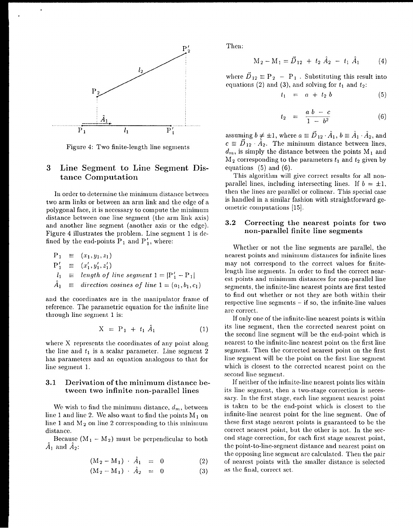

Figure 4: Two finite-length line segments

# 3 **Line Segment to Line Segment Distance Computation**

In order to determine the minimum distance between two arm links or between an arm link and the edge of a polygonal face, it is necessary to compute the minimum distance between one line segment (the arm link axis) and another line segment (another axis or the edge). Figure 4 illustrates the problem. Line segment 1 is defined by the end-points  $P_1$  and  $P'_1$ , where:

$$
P_1 \equiv (x_1, y_1, z_1)
$$
  
\n
$$
P'_1 \equiv (x'_1, y'_1, z'_1)
$$
  
\n
$$
l_1 \equiv length of line segment 1 = |P'_1 - P_1|
$$
  
\n
$$
\hat{A}_1 \equiv direction cosines of line 1 = (a_1, b_1, c_1)
$$

and the coordinates are in the manipulator frame of reference. The parametric equation for the infinite line through line segment 1 is:

$$
X = P_1 + t_1 \hat{A}_1 \tag{1}
$$

where X represents the coordinates of any point along the line and  $t_1$  is a scalar parameter. Line segment 2 has parameters and an equation analogous to that for line segment 1.

# **3.1 Derivation of the minimum distance between two infinite non-parallel lines**

We wish to find the minimum distance,  $d_m$ , between line 1 and line 2. We also want to find the points  $M_1$  on line 1 and  $M_2$  on line 2 corresponding to this minimum distance.

Because  $(M_1 - M_2)$  must be perpendicular to both  $\hat{A}_1$  and  $\hat{A}_2$ :

$$
(M_2 - M_1) \cdot A_1 = 0 \tag{2}
$$

$$
(M_2 - M_1) \cdot \hat{A}_2 = 0 \tag{3}
$$

Then:

$$
M_2 - M_1 = \vec{D}_{12} + t_2 \hat{A}_2 - t_1 \hat{A}_1 \tag{4}
$$

where  $\vec{D}_{12} \equiv P_2 - P_1$ . Substituting this result into equations (2) and (3), and solving for  $t_1$  and  $t_2$ :

$$
t_1 = a + t_2 b \tag{5}
$$

$$
t_2 = \frac{a \ b - c}{1 - b^2} \tag{6}
$$

assuming  $b \neq \pm 1$ , where  $a \equiv {\vec D}_{12}\cdot {\hat A}_1, \, b \equiv {\hat A}_1\cdot {\hat A}_2,$  and  $c \equiv \vec{D}_{12} \cdot \hat{A}_2$ . The minimum distance between lines,  $d_m$ , is simply the distance between the points  $M_1$  and  $M_2$  corresponding to the parameters  $t_1$  and  $t_2$  given by equations (5) and (6).

This algorithm will give correct results for all nonparallel lines, including intersecting lines. If  $b = \pm 1$ , then the lines are parallel or colinear. This special case is handled in a similar fashion with straightforward geometric computations [15].

### 3.2 Correcting the nearest points for two non-parallel finite line segments

Whether or not the line segments are parallel, the nearest points and minimum distances for infinite lines may not correspond to the correct values for finitelength line segments. In order to find the correct nearest points and minimum distances for non-parallel line segments, the infinite-line nearest points are first tested to find out whether or not they are both within their respective line segments  $-$  if so, the infinite-line values are correct.

If only one of the infinite-line nearest points is within its line segment, then the corrected nearest point on the second line segment will be the end-point which is nearest to the infiuitc-line nearest point on the first line segment. Then the corrected nearest point on the first line segment will be the point on the first line segment which is closest to the corrected nearest point on the second line segment.

If neither of the infinite-line nearest points lies within its line segment, then a two-stage correction is necessary. In the first stage, each line segment nearest point is taken to be the end-point which is closest to the infinite-line nearest point for the line segment. One of these first stage nearest points is guaranteed to bc the correct nearest point, but the other is not. In the second stage correction, for each first stage nearest point, the point-to-line-segment distance and nearest point on the opposing line segment are calculated. Then the pair of nearest points with the smaller distance is selected as the final, correct set.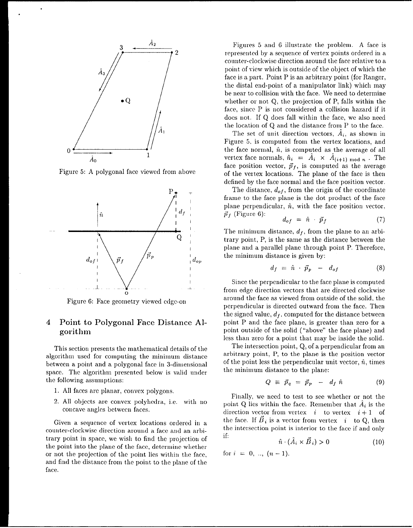

.

.

Figure 5: A polygonal face viewed from above



Figure 6: Face geometry viewed edge-on

# **4 Point to Polygonal Face Distance Algorithm**

This section presents the mathematical details of the algorithm used for computing the minimum distance between a point and a polygonal face in 3-dimensional space. The algorithm presented below is valid under the following assumptions:

- 1. All faces are planar, convex polygons,
- 2. All objects are convex polyhedra, i.e. with no concave angles between faces.

Given a sequence of vertex locations ordered in a counter-clockwise direction around a face and an arbitrary point in space, we wish to find the projection of the point into the plane of the face, determine whether or not the projection of the point lies within the face, and find the distance from the point to the plaue of the face.

Figures 5 and 6 illustrate the problem. A face is represented by a sequence of vertex points ordered in a counter-clockwise direction around the face relative to a point of view which is outside of the object of which the face is a part. Point P is an arbitrary point (for Ranger, the distal end-point of a manipulator link) which may be near to collision with the face. We need to determine whether or not Q, the projection of P, falls within the face, since P is not, considered a collision hazard if it does not. If Q does fall within the face, we also need the location of Q and the distance from P to the face.

The set of unit direction vectors,  $\hat{A}_i$ , as shown in Figure 5, is computed from the vertex locations, and the face normal,  $\hat{n}$ , is computed as the average of all vertex face normals,  $\hat{n}_i = \hat{A}_i \times \hat{A}_{(i+1) \mod n}$ . The face position vector,  $\vec{p}_f$ , is computed as the averag of the vertex locations, The plane of the face is then defined by the face normal and the face position vector.

The distance,  $d_{of}$ , from the origin of the coordinate frame to the face plane is the dot product of the face plane perpendicular,  $\hat{n}$ , with the face position vector,  $\vec{p}_f$  (Figure 6):

$$
d_{of} = \hat{n} \cdot \vec{p}_f \tag{7}
$$

The minimum distance,  $d_f$ , from the plane to an arbitrary point, P, is the same as the distance between the plane and a parallel plane through point P. Therefore, the minimum distance is given by:

$$
d_f = \hat{n} \cdot \vec{p}_p - d_{of} \tag{8}
$$

Since the perpendicular to the face plane is computed from edge direction vectors that are directed clockwise around the face as viewed from outside of the solid, the perpendicular is directed outward from the face. Then the signed value,  $d_f$ , computed for the distance between point P and the face plane, is greater than zero for a point outside of the solid ("above" the face plane) and less than zero for a point that may be inside the solid.

The intersection point, Q, of a perpendicular from an arbitrary point, P, to the plane is the position vector of the point less the perpendicular unit vector,  $\hat{n}$ , times the minimum distance to the plane:

$$
Q \equiv \vec{p}_q = \vec{p}_p - d_f \hat{n} \tag{9}
$$

Finally, we need to test to see whether or not the point Q lies within the face. Remember that  $A_i$  is the direction vector from vertex  $i$  to vertex  $i + 1$  of the face. If  $\vec{B}_i$  is a vector from vertex  $i$  to Q, then the intersection point is interior to the face if and only if

$$
\hat{n} \cdot (A_i \times B_i) > 0 \tag{10}
$$

for  $i = 0, ..., (n-1)$ .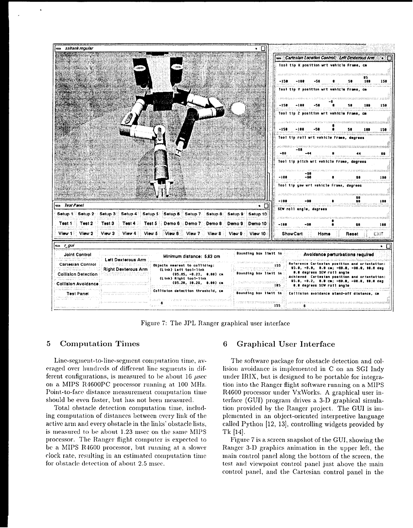

Figure 7: The JPL Ranger graphical user interface

# **5** Computation Times

Line-segment-to-line-segment computation time, averaged over hundreds of different line segments in different configurations, is measured to be about 16  $\mu$ sec on a MIPS R4600PC processor running at 100 MHz. Point-to-face distance measurement computation time should be even faster, but has not beeu measured.

Total obstacle detection computation time, including computation of distances between every link of the active arm aud every obstacle in the links' obstacle lists, is measured to be about 1.23 msec on the same MIPS processor. Tile Ranger flight computer is expected to be a MIPS R4600 processor, but running at a slower clock rate, resulting in an estimated computation time for obstacle detection of about 2.5 msec.

# **6 Graphical User Interface**

The software package for obstacle detection and collision avoidance is implemented in C on an SGI Indy under IRIX, but is designed to be portable for integration into the Ranger flight software running on a MIPS R4600 processor under VxWorks. A graphical user interface (GUI) program drives a 3-D graphical simulation provided by the Ranger project. The GUI is implemented in an object-oriented interpretive language called Pythou [12, 13], controlling widgets provided by  $Tk [14]$ .

Figure 7 is a screen snapshot of the GUI, showing the Ranger 3-D graphics animation in the upper left, the main control panel along the bottom of the screen, the test and viewpoint control panel just above the main control panel, and the Cartesian control panel in the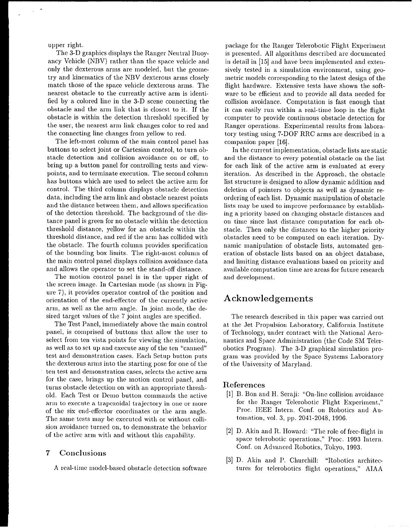upper right.

The 3-D graphics displays the Ranger Neutral Buoyancy Vehicle (NBV) rather than the space vehicle and only the dexterous arms are modeled, but the geometry and kinematics of the NBV dexterous arms closely match those of the space vehicle dexterous arms. The nearest obstacle to the currently active arm is identified by a colored line in the 3-D scene connecting the obstacle and the arm link that is closest to it. If the obstacle is within the detection threshold specified by the user, the nearest arm link changes color to red and the connecting line changes from yellow to red.

The left-most column of the main control panel has buttons to select joint or Cartesian control, to turn obstacle detection and collision avoidance on or off, to bring up a button panel for controlling tests and viewpoints, and to terminate execution. The second column has buttons which are used to select the active arm for control. The third column displays obstacle detection data, including the arm link and obstacle nearest points and the distance between them, and allows specification of the detection threshold. The background of the distance panel is green for no obstacle within the detection threshold distance, yellow for an obstacle within the threshold distance, and red if the arm has collided with the obstacle. The fourth column provides specification of the bounding box limits. The right-most column of the main control panel displays collision avoidance data and allows the operator to set the stand-off distance.

The motion control panel is in the upper right of the screen image. In Cartesian mode (as shown in Figure 7), it provides operator control of the position ancl orientation of the end-effecter of the currently active arm, as well as the arm angle. In joint mode, the desired target values of the 7 joint angles are specified.

The Test Panel, immediately above the main control panel, is comprised of buttons that allow the user to select from ten vista points for viewing the simulation, as well as to set up and execute any of the ten "canned" test and demonstration cases. Each Setup button puts the dexterous arms into the starting pose for one of the ten test and demonstration cases, selects the active arm for the case, brings up the motion control panel, and turus obstacle detection on with an appropriate threshold. Each Test or Demo button commauds the active arm to execute a trapezoidal trajectory in one or more of the six cnd-dfector coordinates or the arm angle. The same tests may be executed with or without collision avoidance turned on, to demonstrate the behavior of the active arm with and without this capability.

# **7 Conclusions**

A real-time model-based obstacle detection software

package for the Ranger Telerobotic Flight Experiment is presented. All algorithms described are documented in detail in [15] and have been implemented and extensively tested in a simulation environment, using geometric models corresponding to the latest design of the flight hardware. Extensive tests have shown the software to be efficient and to provide all data needed for collision avoidance. Computation is fast enough that it can easily run within a real-time loop in the flight computer to provide continuous obstacle detection for Ranger operations. Experimental results from laboratory testing using 7-DOF RRC arms are described in a companion paper [16].

In the current implementation, obstacle lists are static and the distance to every potential obstacle on the list for each link of the active arm is evaluated at every iteration. As described in the Approach, the obstacle list structure is designed to allow dynamic addition and deletion of pointers to objects as well as dynamic reordering of each list. Dynamic manipulation of obstacle lists may be used to improve performance by establishing a priority based on changing obstacle distances and on time since last distance computation for each obstacle. Then only the distances to the higher priority obstacles need to be computed on each iteration. Dynamic manipulation of obstacle lists, automated generation of obstacle lists based on an object database, and limiting distance evaluations based on priority and available computation time are areas for future research and development.

# **Acknowledgements**

The research described in this paper was carried out at the Jet Propulsion Laboratory, California Institute of Technology, under contract with the National Aeronautics and Space Administration (the Code SM Telerobotics Program). The 3-D graphical simulation program was provided by the Space Systems Laboratory of the University of Maryland.

#### **References**

- **[1] B.** Bon and H. Seraji: "On-line collision avoidance for the Ranger Telerobotic Flight Experiment," Proc. IEEE Intern. Conf. on Robotics and Automation, vol. 3, pp. 2041-2048, 1996,
- [2] D. Akin and R. Howard: "The role of free-flight in space telerobotic operations," Proc. 1993 Intern. Conf. on Advanced Robotics, Tokyo, 1993,
- [3] D. Akin and P. Churchill: "Robotics architectures for telerobotics flight operations," AIAA